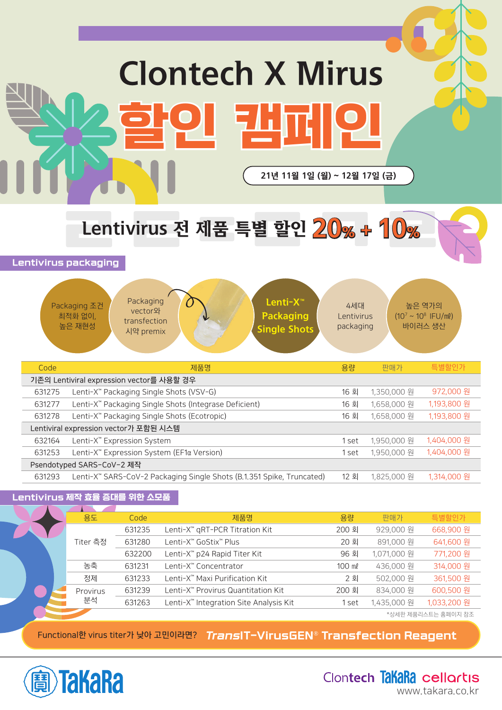# Clontech X Mirus 할인 캠페인 21년 11월 1일 (월) ~ 12월 17일 (금)

Lentivirus 전 제품 특별 할인 20% + 10% Lentivirus 전 제품 특별 할인  $20$ % +  $10$ %

Lentivirus packaging

|                                                                 | Packaging<br>Lenti-X <sup>™</sup><br>Packaging 조건<br>vector와<br><b>Packaging</b><br>최적화 없이,<br>transfection<br>높은 재현성<br><b>Single Shots</b><br>시약 premix | 4세대<br>Lentivirus<br>packaging |             | 높은 역가의<br>$(10^7 \sim 10^8 \text{ IFU/ml})$<br>바이러스 생산 |
|-----------------------------------------------------------------|-----------------------------------------------------------------------------------------------------------------------------------------------------------|--------------------------------|-------------|--------------------------------------------------------|
| Code                                                            | 제품명                                                                                                                                                       | 용량                             | 판매가         | 특별할인가                                                  |
|                                                                 | 기존의 Lentiviral expression vector를 사용할 경우                                                                                                                  |                                |             |                                                        |
| 631275                                                          | Lenti-X <sup>™</sup> Packaging Single Shots (VSV-G)                                                                                                       | 16 회                           | 1,350,000 원 | 972,000 원                                              |
| 631277                                                          | Lenti-X <sup>™</sup> Packaging Single Shots (Integrase Deficient)                                                                                         | 16 회                           | 1,658,000 원 | 1,193,800 원                                            |
| 631278                                                          | Lenti-X <sup>™</sup> Packaging Single Shots (Ecotropic)                                                                                                   | 16 회                           | 1,658,000 원 | 1,193,800 원                                            |
|                                                                 | Lentiviral expression vector가 포함된 시스템                                                                                                                     |                                |             |                                                        |
| 632164                                                          | Lenti-X <sup>™</sup> Expression System                                                                                                                    | 1 set                          | 1,950,000 원 | 1,404,000 원                                            |
| Lenti-X <sup>™</sup> Expression System (EF1a Version)<br>631253 |                                                                                                                                                           |                                | 1,950,000 원 | 1,404,000 원                                            |
|                                                                 | Psendotyped SARS-CoV-2 제작                                                                                                                                 |                                |             |                                                        |
| 631293                                                          | Lenti-X <sup>**</sup> SARS-CoV-2 Packaging Single Shots (B.1.351 Spike, Truncated)                                                                        | 12 회                           | 1,825,000 원 | 1,314,000 원                                            |

### Lentivirus 제작 효율 증대를 위한 소모품

|  | 용도       | Code   | 제품명                                                | 용량     | 판매가         | 특별할인가               |
|--|----------|--------|----------------------------------------------------|--------|-------------|---------------------|
|  |          | 631235 | Lenti-X <sup>™</sup> qRT-PCR Titration Kit         | 200 회  | 929,000 원   | 668,900 원           |
|  | Titer 측정 | 631280 | Lenti-X™ GoStix™ Plus                              | 20 회   | 891,000 원   | 641,600 원           |
|  |          | 632200 | Lenti-X <sup>™</sup> p24 Rapid Titer Kit           | 96 회   | 1,071,000 원 | 771,200 원           |
|  | 농축       | 631231 | Lenti-X <sup>™</sup> Concentrator                  | 100 ml | 436,000 원   | 314,000 원           |
|  | 정제       | 631233 | Lenti-X™ Maxi Purification Kit                     | 2 회    | 502,000 원   | 361,500 원           |
|  | Provirus | 631239 | Lenti-X™ Provirus Quantitation Kit                 | 200 회  | 834,000 원   | 600,500 원           |
|  | 분석       | 631263 | Lenti-X <sup>™</sup> Integration Site Analysis Kit | . set  | 1,435,000 원 | 1,033,200 원         |
|  |          |        |                                                    |        |             | *상세한 제품리스트는 홈페이지 참조 |

**Functional한 virus titer가 낮아 고민이라면?** TransIT-VirusGEN® Transfection Reagent



Clontech TakaRa cellortis www.takara.co.kr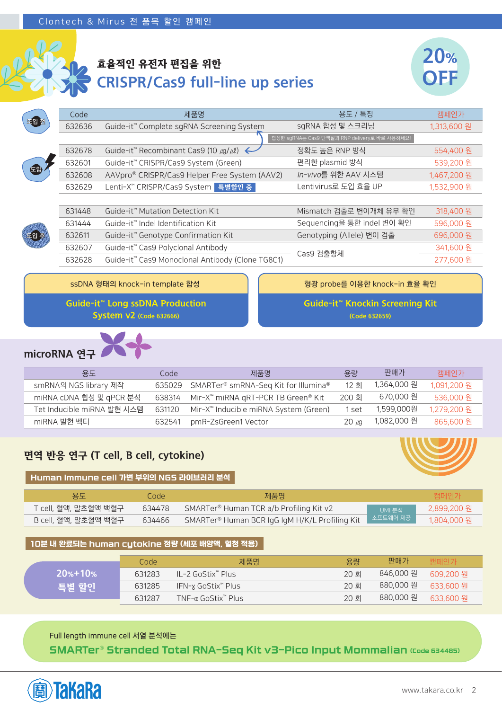

### 효율적인 유전자 편집을 위한 CRISPR/Cas9 full-line up series



|      | Code   | 제품명                                                                       | 용도 / 특징                                      | 캠페인가        |
|------|--------|---------------------------------------------------------------------------|----------------------------------------------|-------------|
| 토입 전 | 632636 | Guide-it <sup>™</sup> Complete sqRNA Screening System                     | sgRNA 합성 및 스크리닝                              | 1,313,600 원 |
|      |        |                                                                           | 합성한 sgRNA는 Cas9 단백질과 RNP delivery로 바로 사용하세요! |             |
|      | 632678 | Guide-it <sup>™</sup> Recombinant Cas9 (10 $\mu$ g/ $\mu$ l) $\leftarrow$ | 정확도 높은 RNP 방식                                | 554,400 원   |
|      | 632601 | Guide-it <sup>™</sup> CRISPR/Cas9 System (Green)                          | 편리한 plasmid 방식                               | 539,200 원   |
|      | 632608 | AAVpro® CRISPR/Cas9 Helper Free System (AAV2)                             | In-vivo를 위한 AAV 시스템                          | 1,467,200 원 |
|      | 632629 | Lenti-X™ CRISPR/Cas9 System 특별할인 중                                        | Lentivirus로 도입 효율 UP                         | 1,532,900 원 |
|      |        |                                                                           |                                              |             |
|      | 631448 | Guide-it <sup>™</sup> Mutation Detection Kit                              | Mismatch 검출로 변이개체 유무 확인                      | 318,400 원   |
|      | 631444 | Guide-it <sup>™</sup> Indel Identification Kit                            | Sequencing을 통한 indel 변이 확인                   | 596,000 원   |
|      | 632611 | Guide-it <sup>™</sup> Genotype Confirmation Kit                           | Genotyping (Allele) 변이 검출                    | 696,000 원   |
|      | 632607 | Guide-it <sup>™</sup> Cas9 Polyclonal Antibody                            |                                              | 341,600 원   |
|      | 632628 | Guide-it <sup>™</sup> Cas9 Monoclonal Antibody (Clone TG8C1)              | Cas9 검출항체                                    | 277,600 원   |
|      |        |                                                                           |                                              |             |

**ssDNA 형태의 knock-in template 합성 형광 probe를 이용한 knock-in 효율 확인**

Guide-it™ Long ssDNA Production **System v2 (Code 632666)** 

Guide-it™ Knockin Screening Kit (Code 632659)



| 용도                         | Code   | 제품명                                               | 용량       | 판매가         | 캠페인가        |
|----------------------------|--------|---------------------------------------------------|----------|-------------|-------------|
| smRNA의 NGS library 제작      | 635029 | SMARTer® smRNA-Seq Kit for Illumina®              | 12 회     | 1,364,000 원 | 1,091,200 원 |
| miRNA cDNA 합성 및 qPCR 분석    | 638314 | Mir-X <sup>™</sup> miRNA qRT-PCR TB Green® Kit    | 200 회    | 670,000 원   | 536,000 원   |
| Tet Inducible miRNA 발현 시스템 | 631120 | Mir-X <sup>™</sup> Inducible miRNA System (Green) | 1 set    | 1,599,000원  | 1,279,200 원 |
| miRNA 발현 벡터                | 632541 | pmR-ZsGreen1 Vector                               | $20 \mu$ | 1,082,000 원 | 865,600 원   |



### 면역 반응 연구 (T cell, B cell, cytokine)  $\mid$  Human immune cell 가변 부위의 NGS 라이브러리 분석  $\mid$

| 용도                   | Code   | 제품명                                            |                           | 캠페인가        |
|----------------------|--------|------------------------------------------------|---------------------------|-------------|
| T cell, 혈액, 말초혈액 백혈구 | 634478 | SMARTer® Human TCR a/b Profiling Kit v2        | UMI 분석                    | 2,899,200 원 |
| B cell, 혈액, 말초혈액 백혈구 | 634466 | SMARTer® Human BCR IgG IgM H/K/L Profiling Kit | <mark>√ 소프트웨어 제공 /</mark> | 1.804.000 원 |

### 10분 내 완료되는 human cytokine 정량 (세포 배양액, 혈청 적용)

|             | Code   | 제품명                  | 용량   | 판매가                   | 캠페인가      |
|-------------|--------|----------------------|------|-----------------------|-----------|
| $20% + 10%$ | 631283 | – II −2 GoStix™ Plus | 20 회 | 846,000 원             | 609.200 원 |
| 특별 할인       | 631285 | IFN-x GoStix™ Plus   | 20 회 | 880,000 원 - 633,600 원 |           |
|             | 631287 | TNF-α GoStix™ Plus   | 20 회 | 880,000 원 633,600 원   |           |

**Full length immune cell 서열 분석에는**

SMARTer® Stranded Total RNA-Seq Kit v3-Pico Input Mommalian (Code 634485)

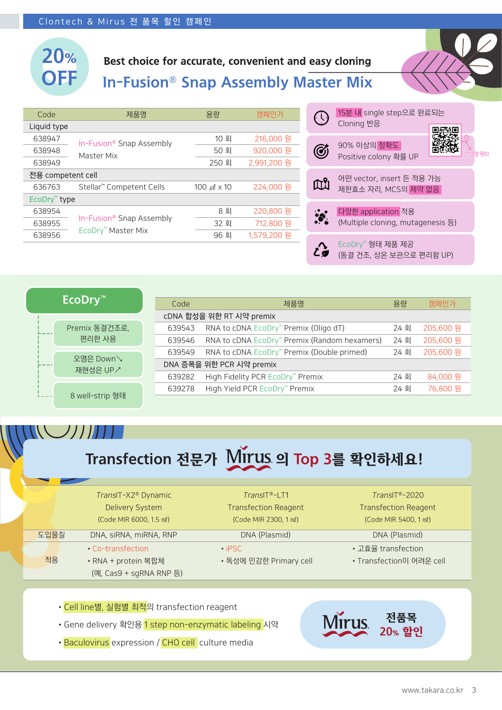

### Best choice for accurate, convenient and easy cloning

In-Fusion® Snap Assembly Master Mix

| Code                     | 제품명                                  | 용량                      | 캠페인가        |                             | 15분.                 |
|--------------------------|--------------------------------------|-------------------------|-------------|-----------------------------|----------------------|
| Liquid type              |                                      |                         |             |                             | Cloni                |
| 638947                   | In-Fusion <sup>®</sup> Snap Assembly | 10 회                    | 216,000 원   |                             | 90%                  |
| 638948                   | Master Mix                           | 50 회                    | 920,000 원   | Ø                           | Posit                |
| 638949                   |                                      | 250 회                   | 2,991,200 원 |                             |                      |
| 전용 competent cell        |                                      |                         |             |                             | 어떤 '                 |
| 636763                   | Stellar <sup>™</sup> Competent Cells | 100 $\mu$ l $\times$ 10 | 224,000 원   | $\mathbb{C}^{\!\mathsf{S}}$ | 제한                   |
| EcoDry <sup>™</sup> type |                                      |                         |             |                             |                      |
| 638954                   |                                      | 8 회                     | 220,800 원   | $\ddot{\bullet}$            | 다양                   |
| 638955                   | In-Fusion® Snap Assembly             | 32 회                    | 712,800 원   |                             | (Mult                |
| 638956                   | EcoDry <sup>™</sup> Master Mix       | 96 회                    | 1,579,200 원 |                             |                      |
|                          |                                      |                         |             | $\bullet$                   | $E \cap \cap \Gamma$ |

|                              | 15분 내 single step으로 완료되는<br>Cloning 반응                  |  |
|------------------------------|---------------------------------------------------------|--|
|                              | 90% 이상의 정확도<br>Positive colony 확률 UP                    |  |
| $\mathbb{U}^{\mathcal{S}}_0$ | 어떤 vector, insert 든 적용 가능<br>제한효소 자리, MCS의 제약 없음        |  |
|                              | 다양한 application 적용<br>(Multiple cloning, mutagenesis 등) |  |
|                              | EcoDry™형태 제품 제공<br>(동결 건조, 상온 보관으로 편리함 UP)              |  |

| <b>EcoDry™</b>          |  |
|-------------------------|--|
| Premix 동결건조로,<br>편리한 사용 |  |
| 오염은 Down<br>재현성은 UP /   |  |
| 8 well-strip 형태         |  |

| Code   | 제품명                                          | 용량   | 캠페인가      |  |  |  |  |
|--------|----------------------------------------------|------|-----------|--|--|--|--|
|        | cDNA 합성을 위한 RT 시약 premix                     |      |           |  |  |  |  |
| 639543 | RNA to cDNA EcoDry™ Premix (Oligo dT)        | 24 회 | 205,600 원 |  |  |  |  |
| 639546 | RNA to cDNA EcoDry™ Premix (Random hexamers) | 24 회 | 205,600 원 |  |  |  |  |
| 639549 | RNA to cDNA EcoDry™ Premix (Double primed)   | 24 회 | 205,600 원 |  |  |  |  |
|        | DNA 증폭을 위한 PCR 시약 premix                     |      |           |  |  |  |  |
| 639282 | High Fidelity PCR EcoDry™ Premix             | 24 회 | 84,000 원  |  |  |  |  |
| 639278 | High Yield PCR EcoDry™ Premix                | 24 회 | 76,800 원  |  |  |  |  |
|        |                                              |      |           |  |  |  |  |

## Transfection 전문가 Mirus 의 Top 3를 확인하세요!

|      | TransIT-X2 <sup>®</sup> Dynamic | $TransIT®-LT1$              | $TransIT^{\circledR}$ -2020 |
|------|---------------------------------|-----------------------------|-----------------------------|
|      | <b>Delivery System</b>          | <b>Transfection Reagent</b> | <b>Transfection Reagent</b> |
|      | (Code MIR 6000, 1.5 ml)         | (Code MIR 2300, 1 ml)       | (Code MIR 5400, 1 ml)       |
| 도입물질 | DNA, siRNA, miRNA, RNP          | DNA (Plasmid)               | DNA (Plasmid)               |
|      | • Co-transfection               | $\cdot$ iPSC.               | • 고효율 transfection          |
| 적용   | • RNA + protein 복합체             | • 독성에 민감한 Primary cell      | • Transfection이 어려운 cell    |
|      | (예, Cas9 + sgRNA RNP 등)         |                             |                             |

- Cell line별, 실험별 최적의 transfection reagent
- Gene delivery 확인용 1 step non-enzymatic labeling 시약
- Baculovirus expression / CHO cell culture media